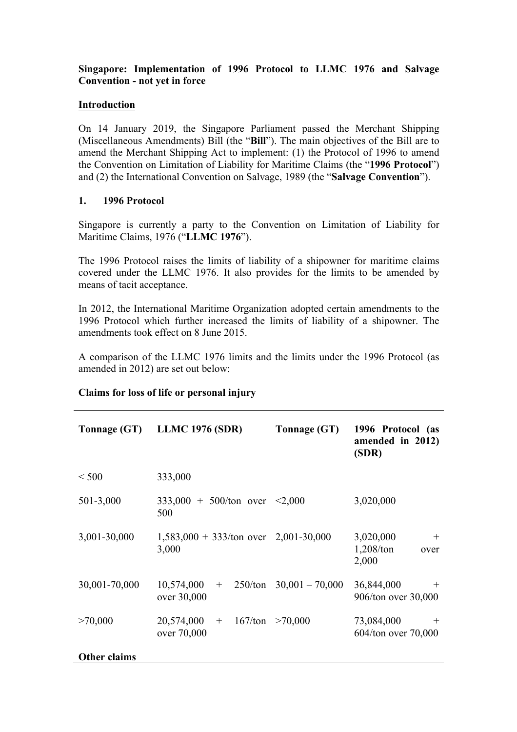# **Singapore: Implementation of 1996 Protocol to LLMC 1976 and Salvage Convention - not yet in force**

## **Introduction**

On 14 January 2019, the Singapore Parliament passed the Merchant Shipping (Miscellaneous Amendments) Bill (the "**Bill**"). The main objectives of the Bill are to amend the Merchant Shipping Act to implement: (1) the Protocol of 1996 to amend the Convention on Limitation of Liability for Maritime Claims (the "**1996 Protocol**") and (2) the International Convention on Salvage, 1989 (the "**Salvage Convention**").

### **1. 1996 Protocol**

Singapore is currently a party to the Convention on Limitation of Liability for Maritime Claims, 1976 ("**LLMC 1976**").

The 1996 Protocol raises the limits of liability of a shipowner for maritime claims covered under the LLMC 1976. It also provides for the limits to be amended by means of tacit acceptance.

In 2012, the International Maritime Organization adopted certain amendments to the 1996 Protocol which further increased the limits of liability of a shipowner. The amendments took effect on 8 June 2015.

A comparison of the LLMC 1976 limits and the limits under the 1996 Protocol (as amended in 2012) are set out below:

| Tonnage (GT)        | <b>LLMC 1976 (SDR)</b>                                  | Tonnage (GT)                | 1996 Protocol (as<br>amended in 2012)<br>(SDR)    |
|---------------------|---------------------------------------------------------|-----------------------------|---------------------------------------------------|
| < 500               | 333,000                                                 |                             |                                                   |
| 501-3,000           | $333,000 + 500/\text{ton}$ over <2,000<br>500           |                             | 3,020,000                                         |
| 3,001-30,000        | $1,583,000 + 333/\text{ton over}$ 2,001-30,000<br>3,000 |                             | 3,020,000<br>$^{+}$<br>1,208/ton<br>over<br>2,000 |
| 30,001-70,000       | 10,574,000<br>$+$<br>over 30,000                        | $250/ton$ $30,001 - 70,000$ | 36,844,000<br>$^{+}$<br>906/ton over 30,000       |
| >70,000             | 20,574,000<br>$+$ 167/ton<br>over 70,000                | >70,000                     | 73,084,000<br>$\pm$<br>604/ton over 70,000        |
| <b>Other claims</b> |                                                         |                             |                                                   |

#### **Claims for loss of life or personal injury**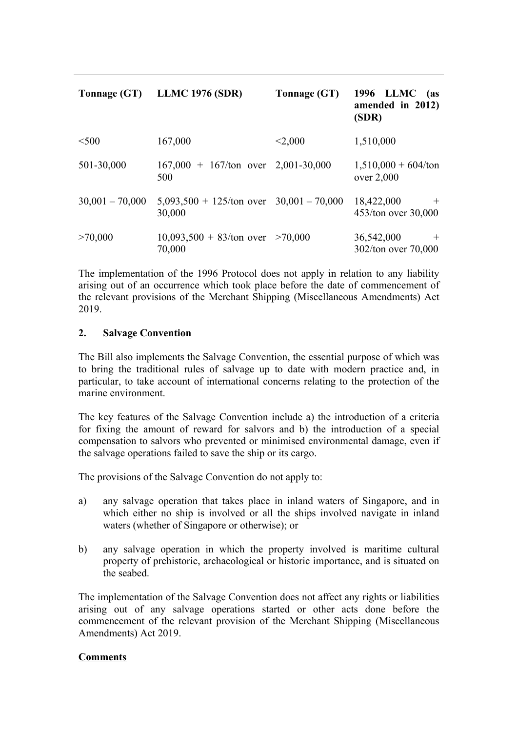| Tonnage (GT)      | <b>LLMC 1976 (SDR)</b>                                       | Tonnage (GT) | 1996 LLMC<br>(as<br>amended in 2012)<br>(SDR) |
|-------------------|--------------------------------------------------------------|--------------|-----------------------------------------------|
| $<$ 500           | 167,000                                                      | < 2,000      | 1,510,000                                     |
| 501-30,000        | $167,000 + 167/\text{ton}$ over 2,001-30,000<br>500          |              | $1,510,000 + 604/t$ on<br>over 2,000          |
| $30,001 - 70,000$ | $5,093,500 + 125/\text{ton over } 30,001 - 70,000$<br>30,000 |              | 18,422,000<br>$+$<br>453/ton over 30,000      |
| >70,000           | $10,093,500 + 83$ /ton over >70,000<br>70,000                |              | 36,542,000<br>$+$<br>302/ton over 70,000      |

The implementation of the 1996 Protocol does not apply in relation to any liability arising out of an occurrence which took place before the date of commencement of the relevant provisions of the Merchant Shipping (Miscellaneous Amendments) Act 2019.

### **2. Salvage Convention**

The Bill also implements the Salvage Convention, the essential purpose of which was to bring the traditional rules of salvage up to date with modern practice and, in particular, to take account of international concerns relating to the protection of the marine environment.

The key features of the Salvage Convention include a) the introduction of a criteria for fixing the amount of reward for salvors and b) the introduction of a special compensation to salvors who prevented or minimised environmental damage, even if the salvage operations failed to save the ship or its cargo.

The provisions of the Salvage Convention do not apply to:

- a) any salvage operation that takes place in inland waters of Singapore, and in which either no ship is involved or all the ships involved navigate in inland waters (whether of Singapore or otherwise); or
- b) any salvage operation in which the property involved is maritime cultural property of prehistoric, archaeological or historic importance, and is situated on the seabed.

The implementation of the Salvage Convention does not affect any rights or liabilities arising out of any salvage operations started or other acts done before the commencement of the relevant provision of the Merchant Shipping (Miscellaneous Amendments) Act 2019.

# **Comments**